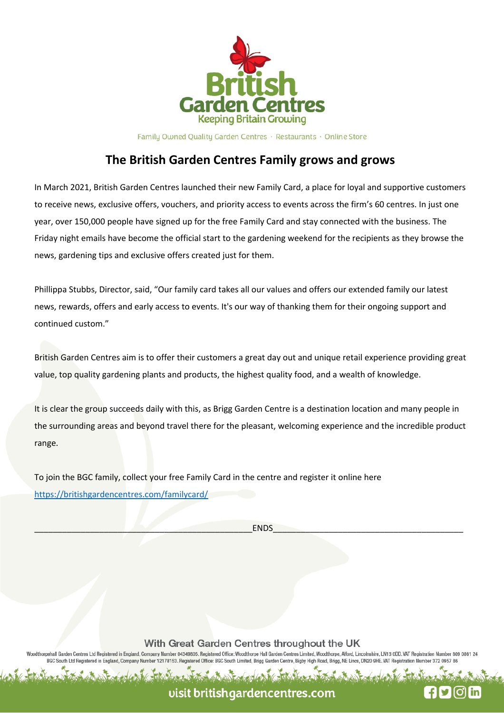

Family Owned Quality Garden Centres · Restaurants · Online Store

## **The British Garden Centres Family grows and grows**

In March 2021, British Garden Centres launched their new Family Card, a place for loyal and supportive customers to receive news, exclusive offers, vouchers, and priority access to events across the firm's 60 centres. In just one year, over 150,000 people have signed up for the free Family Card and stay connected with the business. The Friday night emails have become the official start to the gardening weekend for the recipients as they browse the news, gardening tips and exclusive offers created just for them.

Phillippa Stubbs, Director, said, "Our family card takes all our values and offers our extended family our latest news, rewards, offers and early access to events. It's our way of thanking them for their ongoing support and continued custom."

British Garden Centres aim is to offer their customers a great day out and unique retail experience providing great value, top quality gardening plants and products, the highest quality food, and a wealth of knowledge.

It is clear the group succeeds daily with this, as Brigg Garden Centre is a destination location and many people in the surrounding areas and beyond travel there for the pleasant, welcoming experience and the incredible product range.

To join the BGC family, collect your free Family Card in the centre and register it online here https://britishgardencentres.com/familycard/

\_\_\_\_\_\_\_\_\_\_\_\_\_\_\_\_\_\_\_\_\_\_\_\_\_\_\_\_\_\_\_\_\_\_\_\_\_\_\_\_\_\_\_\_\_\_\_ENDS\_\_\_\_\_\_\_\_\_\_\_\_\_\_\_\_\_\_\_\_\_\_\_\_\_\_\_\_\_\_\_\_\_\_\_\_\_\_\_\_\_

With Great Garden Centres throughout the UK

orpehall Garden Centres Ltd Registered in England, Company Number 04349805. Registered Office: Woodthorpe Hall Garden Centres Limited, Woodthorpe, Alford, Lincolnshire, LN13 0DD. VAT Registration Number 809 0861 2 BGC South Ltd Registered in England, Company Nu 12178153. Registered Office: BGC South Limited, Brigg Garden Centre, Bigby High Road, Brigg, NE Lincs, DN20 9HE. VAT Registration Number 372 0957 86